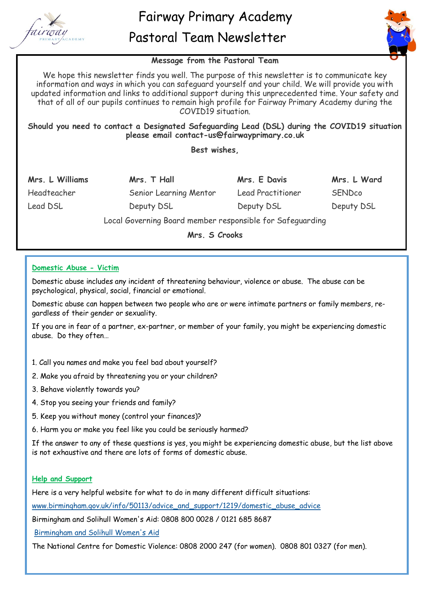



## **Message from the Pastoral Team**

We hope this newsletter finds you well. The purpose of this newsletter is to communicate key information and ways in which you can safeguard yourself and your child. We will provide you with updated information and links to additional support during this unprecedented time. Your safety and that of all of our pupils continues to remain high profile for Fairway Primary Academy during the COVID19 situation.

## **Should you need to contact a Designated Safeguarding Lead (DSL) during the COVID19 situation please email contact-us@fairwayprimary.co.uk**

**Best wishes,**

| Mrs. L Williams                                           | Mrs. T Hall            | Mrs. E Davis      | Mrs. L Ward   |
|-----------------------------------------------------------|------------------------|-------------------|---------------|
| Headteacher                                               | Senior Learning Mentor | Lead Practitioner | <b>SENDco</b> |
| Lead DSL                                                  | Deputy DSL             | Deputy DSL        | Deputy DSL    |
| Local Governing Board member responsible for Safeguarding |                        |                   |               |

**Mrs. S Crooks**

### **Domestic Abuse - Victim**

Domestic abuse includes any incident of threatening behaviour, violence or abuse. The abuse can be psychological, physical, social, financial or emotional.

Domestic abuse can happen between two people who are or were intimate partners or family members, regardless of their gender or sexuality.

If you are in fear of a partner, ex-partner, or member of your family, you might be experiencing domestic abuse. Do they often…

- 1. Call you names and make you feel bad about yourself?
- 2. Make you afraid by threatening you or your children?
- 3. Behave violently towards you?
- 4. Stop you seeing your friends and family?
- 5. Keep you without money (control your finances)?
- 6. Harm you or make you feel like you could be seriously harmed?

If the answer to any of these questions is yes, you might be experiencing domestic abuse, but the list above is not exhaustive and there are lots of forms of domestic abuse.

### **Help and Support**

Here is a very helpful website for what to do in many different difficult situations:

[www.birmingham.gov.uk/info/50113/advice\\_and\\_support/1219/domestic\\_abuse\\_advice](http://www.birmingham.gov.uk/info/50113/advice_and_support/1219/domestic_abuse_advice)

Birmingham and Solihull Women's Aid: 0808 800 0028 / 0121 685 8687

[Birmingham and Solihull Women's Aid](http://www.bswaid.org/)

The National Centre for Domestic Violence: 0808 2000 247 (for women). 0808 801 0327 (for men).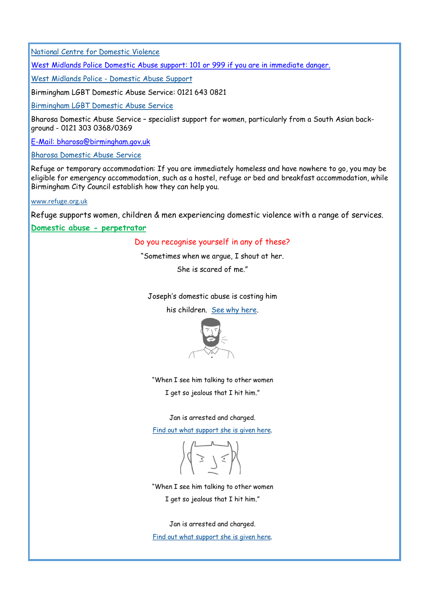[National Centre for Domestic Violence](http://www.ncdv.org.uk/)

West Midlands Police Domestic Abuse support: 101 or 999 if you are in immediate danger.

West Midlands Police - [Domestic Abuse Support](http://www.west-midlands.police.uk/your-options/domestic-abuse)

Birmingham LGBT Domestic Abuse Service: 0121 643 0821

[Birmingham LGBT Domestic Abuse Service](http://www.blgbt.org/) 

Bharosa Domestic Abuse Service – specialist support for women, particularly from a South Asian background - 0121 303 0368/0369

E-Mail: bharosa@birmingham.gov.uk

[Bharosa Domestic Abuse Service](http://www.birmingham.gov.uk/info/20095/antisocial_behaviour_and_neighbour_disputes/1370/bharosa_domestic_abuse_service)

Refuge or temporary accommodation: If you are immediately homeless and have nowhere to go, you may be eligible for emergency accommodation, such as a hostel, refuge or bed and breakfast accommodation, while Birmingham City Council establish how they can help you.

[www.refuge.org.uk](http://www.refuge.org.uk)

Refuge supports women, children & men experiencing domestic violence with a range of services.

**Domestic abuse - perpetrator**

#### Do you recognise yourself in any of these?

"Sometimes when we argue, I shout at her.

She is scared of me."

Joseph's domestic abuse is costing him

his children. [See why here.](https://respectphoneline.org.uk/help-for-perpetrators/stories-of-change/)



"When I see him talking to other women I get so jealous that I hit him."

Jan is arrested and charged.

[Find out what support she is given here.](https://respectphoneline.org.uk/help-for-perpetrators/stories-of-change/)

 $\diagdown$ 

"When I see him talking to other women I get so jealous that I hit him."

Jan is arrested and charged. [Find out what support she is given here.](https://respectphoneline.org.uk/help-for-perpetrators/stories-of-change/)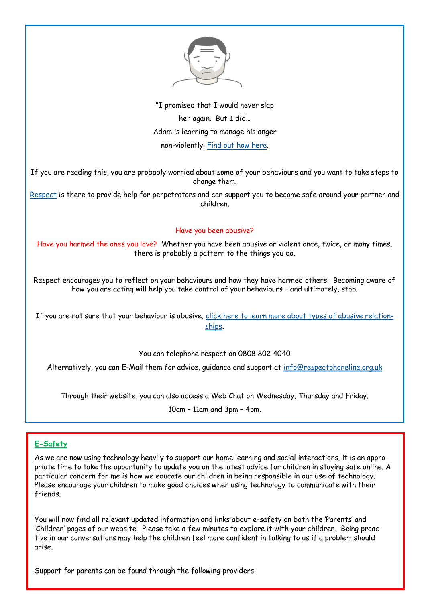

"I promised that I would never slap her again. But I did… Adam is learning to manage his anger non-violently. [Find out how here.](https://respectphoneline.org.uk/help-for-perpetrators/stories-of-change/)

If you are reading this, you are probably worried about some of your behaviours and you want to take steps to change them.

[Respect](http://respectphoneline.org.uk/help-for-perpetrators/) is there to provide help for perpetrators and can support you to become safe around your partner and children.

### Have you been abusive?

Have you harmed the ones you love? Whether you have been abusive or violent once, twice, or many times, there is probably a pattern to the things you do.

Respect encourages you to reflect on your behaviours and how they have harmed others. Becoming aware of how you are acting will help you take control of your behaviours – and ultimately, stop.

If you are not sure that your behaviour is abusive, [click here to learn more about types of abusive relation](https://respectphoneline.org.uk/help-for-perpetrators/abusive-relationships/)[ships](https://respectphoneline.org.uk/help-for-perpetrators/abusive-relationships/).

You can telephone respect on 0808 802 4040

Alternatively, you can E-Mail them for advice, guidance and support at [info@respectphoneline.org.uk](mailto:info@respectphoneline.org.uk)

Through their website, you can also access a Web Chat on Wednesday, Thursday and Friday.

10am – 11am and 3pm – 4pm.

# **E-Safety**

As we are now using technology heavily to support our home learning and social interactions, it is an appropriate time to take the opportunity to update you on the latest advice for children in staying safe online. A particular concern for me is how we educate our children in being responsible in our use of technology. Please encourage your children to make good choices when using technology to communicate with their friends.

You will now find all relevant updated information and links about e-safety on both the 'Parents' and 'Children' pages of our website. Please take a few minutes to explore it with your children. Being proactive in our conversations may help the children feel more confident in talking to us if a problem should arise.

Support for parents can be found through the following providers: